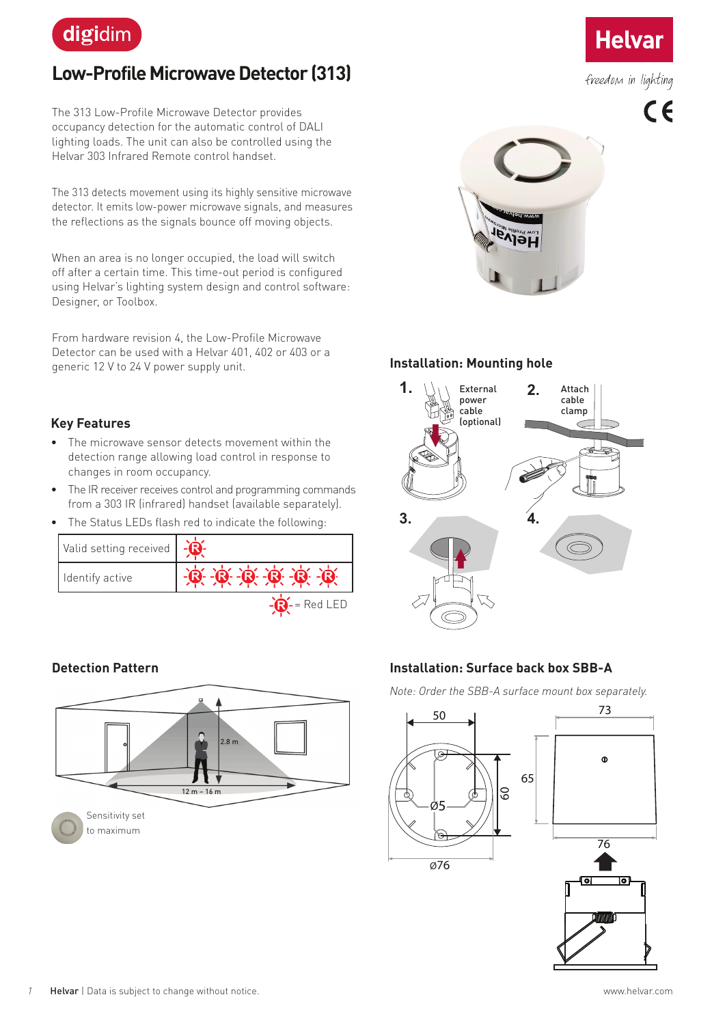

# **Low-Profile Microwave Detector (313)**

The 313 Low-Profile Microwave Detector provides occupancy detection for the automatic control of DALI lighting loads. The unit can also be controlled using the Helvar 303 Infrared Remote control handset.

The 313 detects movement using its highly sensitive microwave detector. It emits low-power microwave signals, and measures the reflections as the signals bounce off moving objects.

When an area is no longer occupied, the load will switch off after a certain time. This time-out period is configured using Helvar's lighting system design and control software: Designer, or Toolbox.

From hardware revision 4, the Low-Profile Microwave Detector can be used with a Helvar 401, 402 or 403 or a generic 12 V to 24 V power supply unit.

### **Key Features**

- The microwave sensor detects movement within the detection range allowing load control in response to changes in room occupancy.
- The IR receiver receives control and programming commands from a 303 IR (infrared) handset (available separately).
- The Status LEDs flash red to indicate the following:

| Valid setting received |                        |
|------------------------|------------------------|
| Identify active        | 0 0 0 0 0              |
|                        | $\mathbf{S}$ = Red LED |

#### **Detection Pattern**





#### **Installation: Mounting hole**



#### **Installation: Surface back box SBB-A**

*Note: Order the SBB-A surface mount box separately.*



**Helvar** 

freedom in lighting